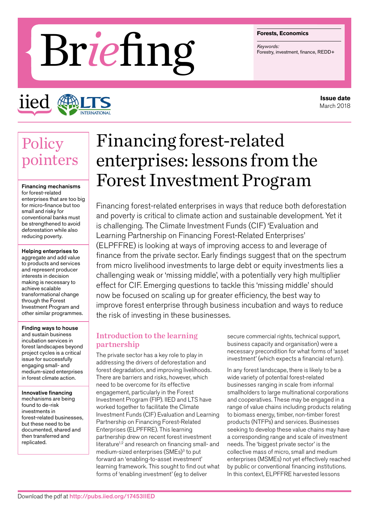#### **Forests, Economics**

# **Briests, Economics**<br> **Brief Ingles**<br> **Briestry**, investment, finance, REDD+

iied

## **Issue date** March 2018

# **Policy** pointers

Financing mechanisms for forest-related enterprises that are too big for micro-finance but too small and risky for conventional banks must be strengthened to avoid deforestation while also reducing poverty.

Helping enterprises to aggregate and add value to products and services and represent producer interests in decision making is necessary to achieve scalable transformational change through the Forest Investment Program and other similar programmes.

Finding ways to house and sustain business incubation services in forest landscapes beyond project cycles is a critical issue for successfully engaging small- and medium-sized enterprises in forest climate action.

Innovative financing mechanisms are being found to de-risk investments in forest-related businesses, but these need to be documented, shared and then transferred and replicated.

# Financing forest-related enterprises: lessons from the Forest Investment Program

Financing forest-related enterprises in ways that reduce both deforestation and poverty is critical to climate action and sustainable development. Yet it is challenging. The Climate Investment Funds (CIF) 'Evaluation and Learning Partnership on Financing Forest-Related Enterprises' (ELPFFRE) is looking at ways of improving access to and leverage of finance from the private sector. Early findings suggest that on the spectrum from micro livelihood investments to large debt or equity investments lies a challenging weak or 'missing middle', with a potentially very high multiplier effect for CIF. Emerging questions to tackle this 'missing middle' should now be focused on scaling up for greater efficiency, the best way to improve forest enterprise through business incubation and ways to reduce the risk of investing in these businesses.

# Introduction to the learning partnership

The private sector has a key role to play in addressing the drivers of deforestation and forest degradation, and improving livelihoods. There are barriers and risks, however, which need to be overcome for its effective engagement, particularly in the Forest Investment Program (FIP). IIED and LTS have worked together to facilitate the Climate Investment Funds (CIF) Evaluation and Learning Partnership on Financing Forest-Related Enterprises (ELPFFRE). This learning partnership drew on recent forest investment literature<sup>1,2</sup> and research on financing small- and medium-sized enterprises (SMEs)<sup>3</sup> to put forward an 'enabling-to-asset investment' learning framework. This sought to find out what forms of 'enabling investment' (eg to deliver

secure commercial rights, technical support, business capacity and organisation) were a necessary precondition for what forms of 'asset investment' (which expects a financial return).

In any forest landscape, there is likely to be a wide variety of potential forest-related businesses ranging in scale from informal smallholders to large multinational corporations and cooperatives. These may be engaged in a range of value chains including products relating to biomass energy, timber, non-timber forest products (NTFPs) and services. Businesses seeking to develop these value chains may have a corresponding range and scale of investment needs. The 'biggest private sector' is the collective mass of micro, small and medium enterprises (MSMEs) not yet effectively reached by public or conventional financing institutions. In this context, ELPFFRE harvested lessons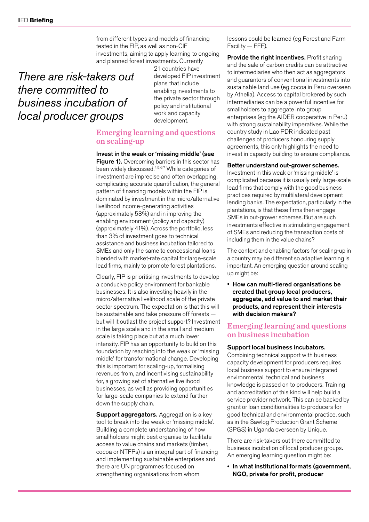from different types and models of financing tested in the FIP, as well as non-CIF investments, aiming to apply learning to ongoing and planned forest investments. Currently

# *There are risk-takers out there committed to business incubation of local producer groups*

21 countries have developed FIP investment plans that include enabling investments to the private sector through policy and institutional work and capacity development.

# Emerging learning and questions on scaling-up

Invest in the weak or 'missing middle' (see Figure 1). Overcoming barriers in this sector has been widely discussed.4,5,6,7 While categories of investment are imprecise and often overlapping, complicating accurate quantification, the general pattern of financing models within the FIP is dominated by investment in the micro/alternative livelihood income-generating activities (approximately 53%) and in improving the enabling environment (policy and capacity) (approximately 41%). Across the portfolio, less than 3% of investment goes to technical assistance and business incubation tailored to SMEs and only the same to concessional loans blended with market-rate capital for large-scale lead firms, mainly to promote forest plantations.

Clearly, FIP is prioritising investments to develop a conducive policy environment for bankable businesses. It is also investing heavily in the micro/alternative livelihood scale of the private sector spectrum. The expectation is that this will be sustainable and take pressure off forests but will it outlast the project support? Investment in the large scale and in the small and medium scale is taking place but at a much lower intensity. FIP has an opportunity to build on this foundation by reaching into the weak or 'missing middle' for transformational change. Developing this is important for scaling-up, formalising revenues from, and incentivising sustainability for, a growing set of alternative livelihood businesses, as well as providing opportunities for large-scale companies to extend further down the supply chain.

Support aggregators. Aggregation is a key tool to break into the weak or 'missing middle'. Building a complete understanding of how smallholders might best organise to facilitate access to value chains and markets (timber, cocoa or NTFPs) is an integral part of financing and implementing sustainable enterprises and there are UN programmes focused on strengthening organisations from whom

lessons could be learned (eg Forest and Farm Facility — FFF).

Provide the right incentives. Profit sharing and the sale of carbon credits can be attractive to intermediaries who then act as aggregators and guarantors of conventional investments into sustainable land use (eg cocoa in Peru overseen by Athelia). Access to capital brokered by such intermediaries can be a powerful incentive for smallholders to aggregate into group enterprises (eg the AIDER cooperative in Peru) with strong sustainability imperatives. While the country study in Lao PDR indicated past challenges of producers honouring supply agreements, this only highlights the need to invest in capacity building to ensure compliance.

#### Better understand out-grower schemes.

Investment in this weak or 'missing middle' is complicated because it is usually only large-scale lead firms that comply with the good business practices required by multilateral development lending banks. The expectation, particularly in the plantations, is that these firms then engage SMEs in out-grower schemes. But are such investments effective in stimulating engagement of SMEs and reducing the transaction costs of including them in the value chains?

The context and enabling factors for scaling-up in a country may be different so adaptive learning is important. An emerging question around scaling up might be:

• How can multi-tiered organisations be created that group local producers, aggregate, add value to and market their products, and represent their interests with decision makers?

# Emerging learning and questions on business incubation

## Support local business incubators.

Combining technical support with business capacity development for producers requires local business support to ensure integrated environmental, technical and business knowledge is passed on to producers. Training and accreditation of this kind will help build a service provider network. This can be backed by grant or loan conditionalities to producers for good technical and environmental practice, such as in the Sawlog Production Grant Scheme (SPGS) in Uganda overseen by Unique.

There are risk-takers out there committed to business incubation of local producer groups. An emerging learning question might be:

• In what institutional formats (government, NGO, private for profit, producer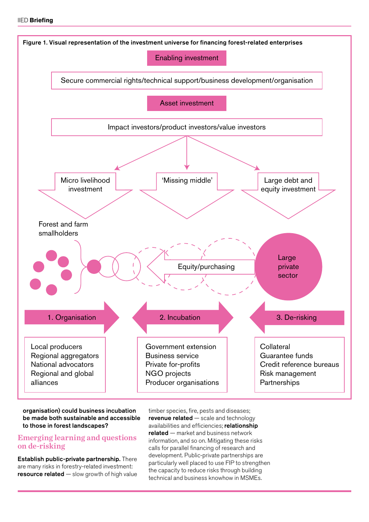

## organisation) could business incubation be made both sustainable and accessible to those in forest landscapes?

# Emerging learning and questions on de-risking

Establish public-private partnership. There are many risks in forestry-related investment: resource related  $-$  slow growth of high value timber species, fire, pests and diseases; revenue related — scale and technology availabilities and efficiencies; relationship related — market and business network information, and so on. Mitigating these risks calls for parallel financing of research and development. Public-private partnerships are particularly well placed to use FIP to strengthen the capacity to reduce risks through building technical and business knowhow in MSMEs.